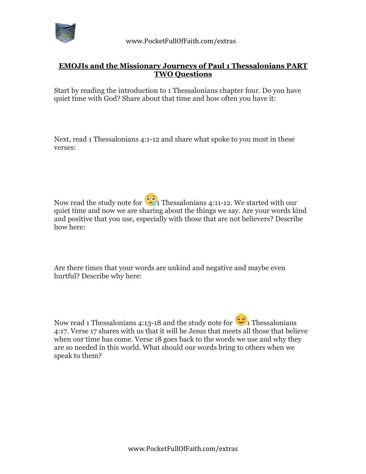

 www.PocketFullOfFaith.com/extras

## **EMOJIs and the Missionary Journeys of Paul 1 Thessalonians PART TWO Questions**

Start by reading the introduction to 1 Thessalonians chapter four. Do you have quiet time with God? Share about that time and how often you have it:

Next, read 1 Thessalonians 4:1-12 and share what spoke to you most in these verses:

Now read the study note for  $\left( \frac{1}{2} \right)$  Thessalonians 4:11-12. We started with our quiet time and now we are sharing about the things we say. Are your words kind and positive that you use, especially with those that are not believers? Describe how here:

Are there times that your words are unkind and negative and maybe even hurtful? Describe why here:

Now read 1 Thessalonians 4:13-18 and the study note for  $\ddot{\bullet}$  1 Thessalonians 4:17. Verse 17 shares with us that it will be Jesus that meets all those that believe when our time has come. Verse 18 goes back to the words we use and why they are so needed in this world. What should our words bring to others when we speak to them?